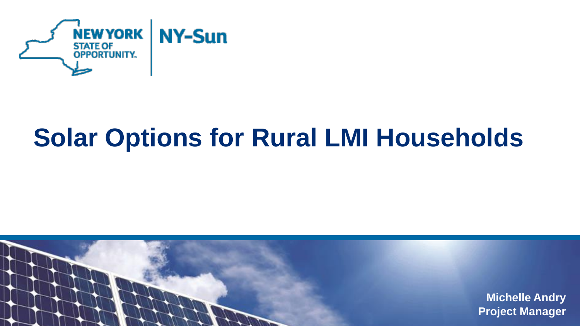

# **Solar Options for Rural LMI Households**

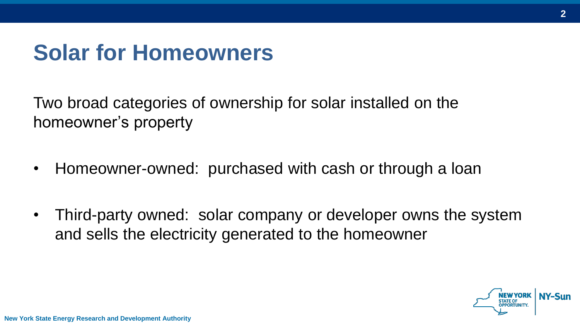### **Solar for Homeowners**

Two broad categories of ownership for solar installed on the homeowner's property

- Homeowner-owned: purchased with cash or through a loan
- Third-party owned: solar company or developer owns the system and sells the electricity generated to the homeowner

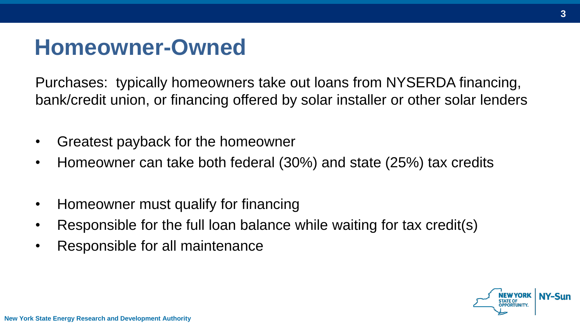### **Homeowner-Owned**

Purchases: typically homeowners take out loans from NYSERDA financing, bank/credit union, or financing offered by solar installer or other solar lenders

- Greatest payback for the homeowner
- Homeowner can take both federal (30%) and state (25%) tax credits
- Homeowner must qualify for financing
- Responsible for the full loan balance while waiting for tax credit(s)
- Responsible for all maintenance

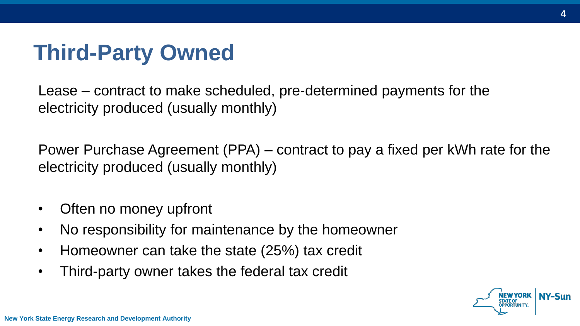## **Third-Party Owned**

Lease – contract to make scheduled, pre-determined payments for the electricity produced (usually monthly)

Power Purchase Agreement (PPA) – contract to pay a fixed per kWh rate for the electricity produced (usually monthly)

- Often no money upfront
- No responsibility for maintenance by the homeowner
- Homeowner can take the state (25%) tax credit
- Third-party owner takes the federal tax credit

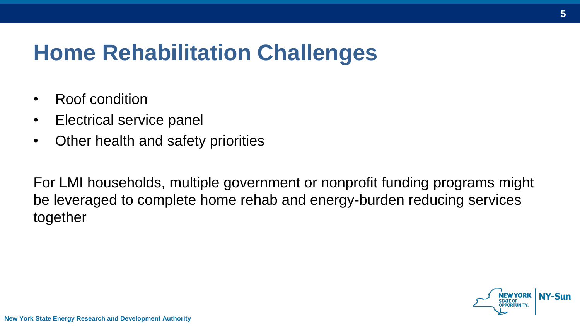## **Home Rehabilitation Challenges**

- Roof condition
- Electrical service panel
- Other health and safety priorities

For LMI households, multiple government or nonprofit funding programs might be leveraged to complete home rehab and energy-burden reducing services together



**New York State Energy Research and Development Authority**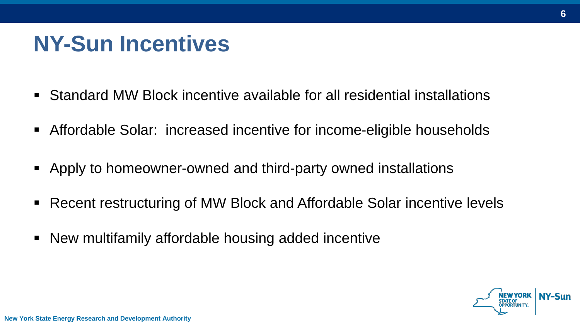## **NY-Sun Incentives**

- Standard MW Block incentive available for all residential installations
- Affordable Solar: increased incentive for income-eligible households
- Apply to homeowner-owned and third-party owned installations
- Recent restructuring of MW Block and Affordable Solar incentive levels
- New multifamily affordable housing added incentive

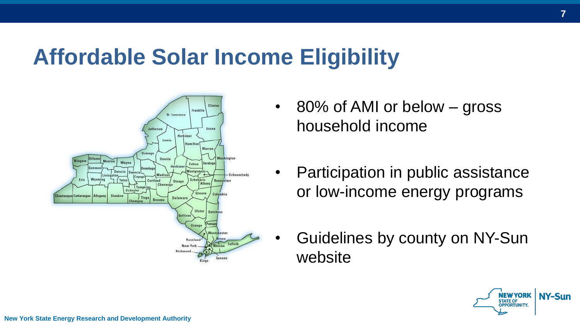### **Affordable Solar Income Eligibility**



- 80% of AMI or below gross household income
- Participation in public assistance or low-income energy programs
- Guidelines by county on NY-Sun website

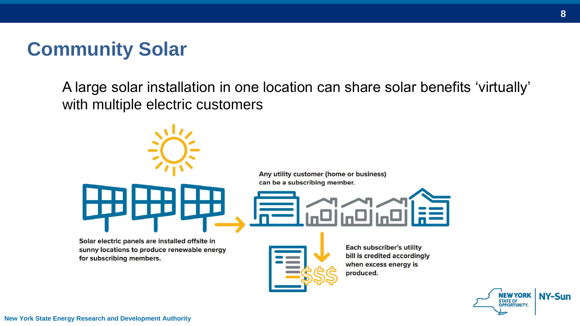### **Community Solar**

A large solar installation in one location can share solar benefits 'virtually' with multiple electric customers



sunny locations to produce renewable energy for subscribing members.

**Each subscriber's utility** bill is credited accordingly when excess energy is produced.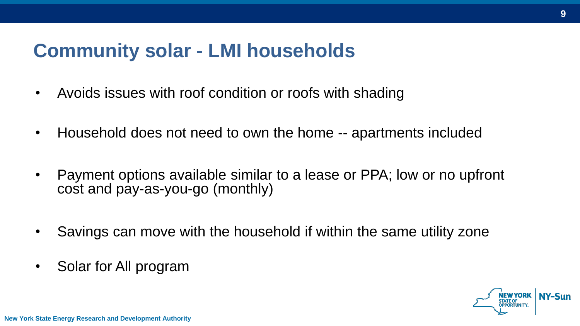### **Community solar - LMI households**

- Avoids issues with roof condition or roofs with shading
- Household does not need to own the home -- apartments included
- Payment options available similar to a lease or PPA; low or no upfront cost and pay-as-you-go (monthly)
- Savings can move with the household if within the same utility zone
- Solar for All program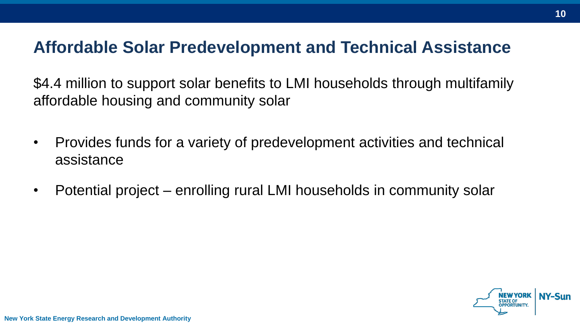#### **Affordable Solar Predevelopment and Technical Assistance**

\$4.4 million to support solar benefits to LMI households through multifamily affordable housing and community solar

- Provides funds for a variety of predevelopment activities and technical assistance
- Potential project enrolling rural LMI households in community solar